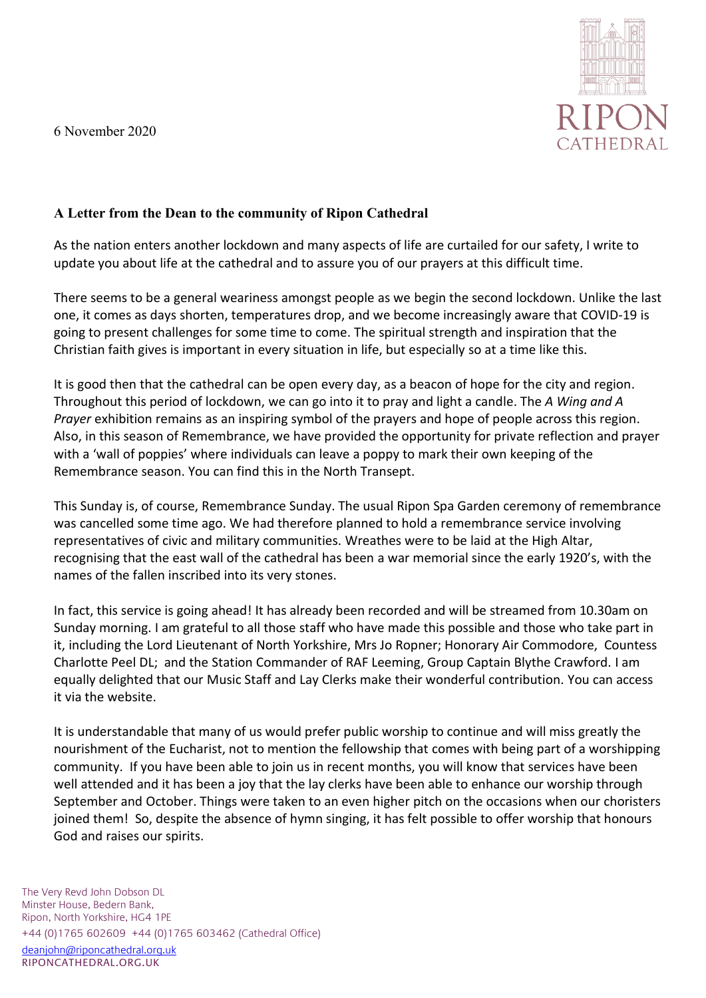6 November 2020



## **A Letter from the Dean to the community of Ripon Cathedral**

As the nation enters another lockdown and many aspects of life are curtailed for our safety, I write to update you about life at the cathedral and to assure you of our prayers at this difficult time.

There seems to be a general weariness amongst people as we begin the second lockdown. Unlike the last one, it comes as days shorten, temperatures drop, and we become increasingly aware that COVID-19 is going to present challenges for some time to come. The spiritual strength and inspiration that the Christian faith gives is important in every situation in life, but especially so at a time like this.

It is good then that the cathedral can be open every day, as a beacon of hope for the city and region. Throughout this period of lockdown, we can go into it to pray and light a candle. The *A Wing and A Prayer* exhibition remains as an inspiring symbol of the prayers and hope of people across this region. Also, in this season of Remembrance, we have provided the opportunity for private reflection and prayer with a 'wall of poppies' where individuals can leave a poppy to mark their own keeping of the Remembrance season. You can find this in the North Transept.

This Sunday is, of course, Remembrance Sunday. The usual Ripon Spa Garden ceremony of remembrance was cancelled some time ago. We had therefore planned to hold a remembrance service involving representatives of civic and military communities. Wreathes were to be laid at the High Altar, recognising that the east wall of the cathedral has been a war memorial since the early 1920's, with the names of the fallen inscribed into its very stones.

In fact, this service is going ahead! It has already been recorded and will be streamed from 10.30am on Sunday morning. I am grateful to all those staff who have made this possible and those who take part in it, including the Lord Lieutenant of North Yorkshire, Mrs Jo Ropner; Honorary Air Commodore, Countess Charlotte Peel DL; and the Station Commander of RAF Leeming, Group Captain Blythe Crawford. I am equally delighted that our Music Staff and Lay Clerks make their wonderful contribution. You can access it via the website.

It is understandable that many of us would prefer public worship to continue and will miss greatly the nourishment of the Eucharist, not to mention the fellowship that comes with being part of a worshipping community. If you have been able to join us in recent months, you will know that services have been well attended and it has been a joy that the lay clerks have been able to enhance our worship through September and October. Things were taken to an even higher pitch on the occasions when our choristers joined them! So, despite the absence of hymn singing, it has felt possible to offer worship that honours God and raises our spirits.

The Very Revd John Dobson DL Minster House, Bedern Bank, Ripon, North Yorkshire, HG4 1PE +44 (0)1765 602609 +44 (0)1765 603462 (Cathedral Office) deanjohn@riponcathedral.org.uk RIPONCATHEDRAL.ORG.UK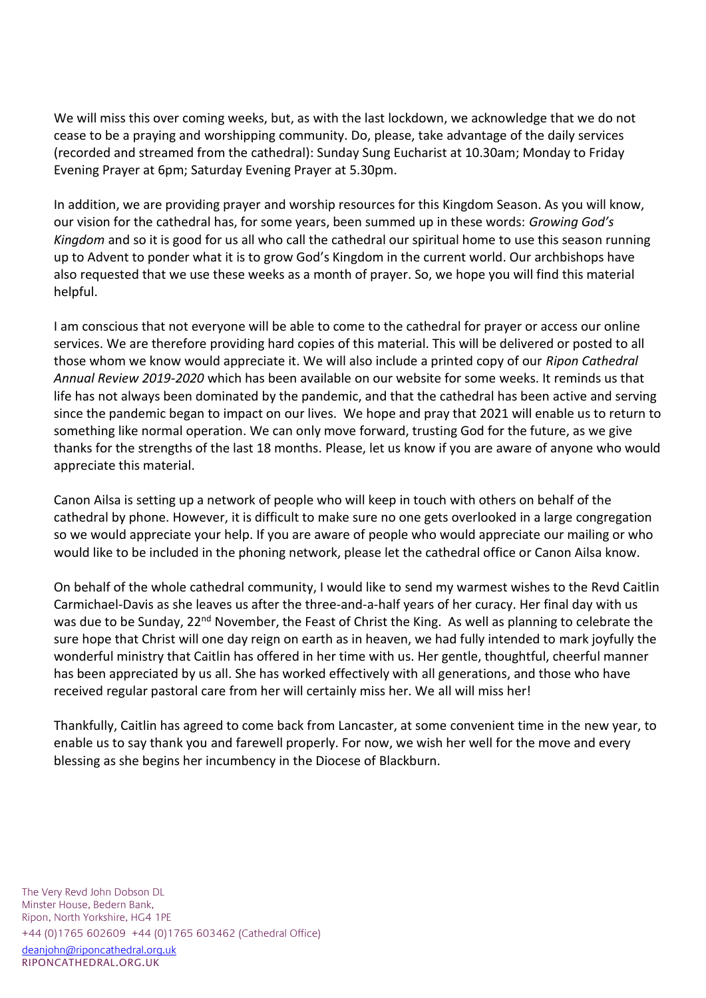We will miss this over coming weeks, but, as with the last lockdown, we acknowledge that we do not cease to be a praying and worshipping community. Do, please, take advantage of the daily services (recorded and streamed from the cathedral): Sunday Sung Eucharist at 10.30am; Monday to Friday Evening Prayer at 6pm; Saturday Evening Prayer at 5.30pm.

In addition, we are providing prayer and worship resources for this Kingdom Season. As you will know, our vision for the cathedral has, for some years, been summed up in these words: *Growing God's Kingdom* and so it is good for us all who call the cathedral our spiritual home to use this season running up to Advent to ponder what it is to grow God's Kingdom in the current world. Our archbishops have also requested that we use these weeks as a month of prayer. So, we hope you will find this material helpful.

I am conscious that not everyone will be able to come to the cathedral for prayer or access our online services. We are therefore providing hard copies of this material. This will be delivered or posted to all those whom we know would appreciate it. We will also include a printed copy of our *Ripon Cathedral Annual Review 2019-2020* which has been available on our website for some weeks. It reminds us that life has not always been dominated by the pandemic, and that the cathedral has been active and serving since the pandemic began to impact on our lives. We hope and pray that 2021 will enable us to return to something like normal operation. We can only move forward, trusting God for the future, as we give thanks for the strengths of the last 18 months. Please, let us know if you are aware of anyone who would appreciate this material.

Canon Ailsa is setting up a network of people who will keep in touch with others on behalf of the cathedral by phone. However, it is difficult to make sure no one gets overlooked in a large congregation so we would appreciate your help. If you are aware of people who would appreciate our mailing or who would like to be included in the phoning network, please let the cathedral office or Canon Ailsa know.

On behalf of the whole cathedral community, I would like to send my warmest wishes to the Revd Caitlin Carmichael-Davis as she leaves us after the three-and-a-half years of her curacy. Her final day with us was due to be Sunday, 22<sup>nd</sup> November, the Feast of Christ the King. As well as planning to celebrate the sure hope that Christ will one day reign on earth as in heaven, we had fully intended to mark joyfully the wonderful ministry that Caitlin has offered in her time with us. Her gentle, thoughtful, cheerful manner has been appreciated by us all. She has worked effectively with all generations, and those who have received regular pastoral care from her will certainly miss her. We all will miss her!

Thankfully, Caitlin has agreed to come back from Lancaster, at some convenient time in the new year, to enable us to say thank you and farewell properly. For now, we wish her well for the move and every blessing as she begins her incumbency in the Diocese of Blackburn.

The Very Revd John Dobson DL Minster House, Bedern Bank, Ripon, North Yorkshire, HG4 1PE +44 (0)1765 602609 +44 (0)1765 603462 (Cathedral Office) deanjohn@riponcathedral.org.uk RIPONCATHEDRAL.ORG.UK